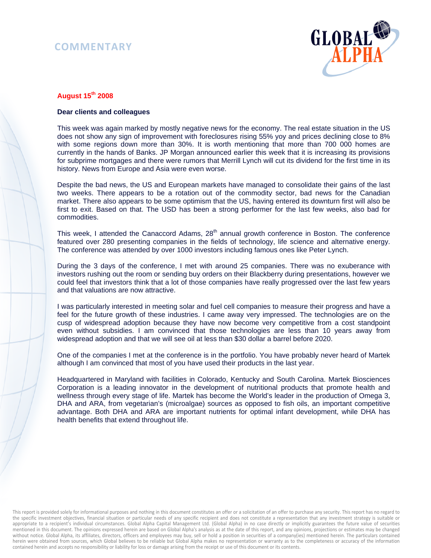## **COMMENTARY**



## **August 15th 2008**

## **Dear clients and colleagues**

This week was again marked by mostly negative news for the economy. The real estate situation in the US does not show any sign of improvement with foreclosures rising 55% yoy and prices declining close to 8% with some regions down more than 30%. It is worth mentioning that more than 700 000 homes are currently in the hands of Banks. JP Morgan announced earlier this week that it is increasing its provisions for subprime mortgages and there were rumors that Merrill Lynch will cut its dividend for the first time in its history. News from Europe and Asia were even worse.

Despite the bad news, the US and European markets have managed to consolidate their gains of the last two weeks. There appears to be a rotation out of the commodity sector, bad news for the Canadian market. There also appears to be some optimism that the US, having entered its downturn first will also be first to exit. Based on that. The USD has been a strong performer for the last few weeks, also bad for commodities.

This week, I attended the Canaccord Adams, 28<sup>th</sup> annual growth conference in Boston. The conference featured over 280 presenting companies in the fields of technology, life science and alternative energy. The conference was attended by over 1000 investors including famous ones like Peter Lynch.

During the 3 days of the conference, I met with around 25 companies. There was no exuberance with investors rushing out the room or sending buy orders on their Blackberry during presentations, however we could feel that investors think that a lot of those companies have really progressed over the last few years and that valuations are now attractive.

I was particularly interested in meeting solar and fuel cell companies to measure their progress and have a feel for the future growth of these industries. I came away very impressed. The technologies are on the cusp of widespread adoption because they have now become very competitive from a cost standpoint even without subsidies. I am convinced that those technologies are less than 10 years away from widespread adoption and that we will see oil at less than \$30 dollar a barrel before 2020.

One of the companies I met at the conference is in the portfolio. You have probably never heard of Martek although I am convinced that most of you have used their products in the last year.

Headquartered in Maryland with facilities in Colorado, Kentucky and South Carolina. Martek Biosciences Corporation is a leading innovator in the development of nutritional products that promote health and wellness through every stage of life. Martek has become the World's leader in the production of Omega 3, DHA and ARA, from vegetarian's (microalgae) sources as opposed to fish oils, an important competitive advantage. Both DHA and ARA are important nutrients for optimal infant development, while DHA has health benefits that extend throughout life.

This report is provided solely for informational purposes and nothing in this document constitutes an offer or a solicitation of an offer to purchase any security. This report has no regard to the specific investment objectives, financial situation or particular needs of any specific recipient and does not constitute a representation that any investment strategy is suitable or appropriate to a recipient's individual circumstances. Global Alpha Capital Management Ltd. (Global Alpha) in no case directly or implicitly guarantees the future value of securities mentioned in this document. The opinions expressed herein are based on Global Alpha's analysis as at the date of this report, and any opinions, projections or estimates may be changed without notice. Global Alpha, its affiliates, directors, officers and employees may buy, sell or hold a position in securities of a company(ies) mentioned herein. The particulars contained herein were obtained from sources, which Global believes to be reliable but Global Alpha makes no representation or warranty as to the completeness or accuracy of the information contained herein and accepts no responsibility or liability for loss or damage arising from the receipt or use of this document or its contents.